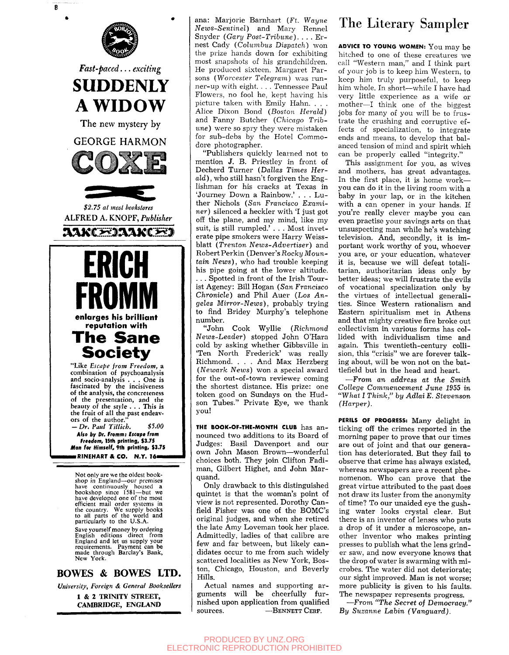

*University, Foreign & General Booksellers*  1 & 2 TRINITY STREET,

CAMBRIDGE, ENGLAND

ana: Marjorie Barnhart (Ft. *Wayne News-Sentinel)* and Mary Rennel Snyder *(Gary Post-Trihune). . . .* Ernest Cady *(Columhus Dispatch)* won the prize hands down for exhibiting most snapshots of his grandchildren. He produced sixteen. Margaret Parsons *(Worcester Telegram)* was runner-up with eight. . . . Tennessee Paul Flowers, no fool he, kept having his picture taken with Emily Hahn. . . . Alice Dixon Bond (Boston Herald) and Fanny Butcher *(Chicago Tribune)* were so spry they were mistaken for sub-debs by the Hotel Commodore photographer.

"Publishers quickly learned not to mention J. B. Priestley in front of Decherd Turner (Dallas *Times Herald) ,* who still hasn't forgiven the Englishman for his cracks at Texas in 'Journey Down a Rainbow.' . . . Luther Nichols (San *Francisco Examiner)* silenced a heckler with 'I just got off the plane, and my mind, like my suit, is still rumpled.' . . . Most inveterate pipe smokers were Harry Weissblatt *(Trenton News-Advertiser)* and Robert Perkin (Denver's Rocky Moun*tain News),* who had trouble keeping his pipe going at the lower altitude. . . . Spotted in front of the Irish Tourist Agency: Bill Hogan *(San Francisco Chronicle)* and Phil Auer *(Los Angeles Mirror-News),* probably trying to find Bridey Murphy's telephone number.

"John Cook Wyllie *(Richmond News-Leader)* stopped John O'Hara cold by asking whether Gibbsville in 'Ten North Frederick' was really Richmond. . . . And Max Herzberg *(Newark News)* won a special award for the out-of-town reviewer coming the shortest distance. His prize: one token good on Sundays on the Hudson Tubes." Private Eye, we thank you!

THE BOOK-OF-THE-MONTH CLUB has announced two additions to its Board of Judges: Basil Davenport and our own John Mason Brown—wonderful choices both. They join Clifton Fadiman, Gilbert Highet, and John Marquand.

Only drawback to this distinguished quintet is that the woman's point of view is not represented. Dorothy Canfield Fisher was one of the BOMC's original judges, and when she retired the late Amy Loveman took her place. Admittedly, ladies of that calibre are few and far between, but likely candidates occur to me from such widely scattered localities as New York, Boston, Chicago, Houston, and Beverly Hills.

Actual names and supporting arguments will be cheerfully furnished upon application from qualified sources. — **BENNETT CERF.** 

## The Literary Sampler

**ADVICE TO YOUNG WOMEN:** You may be hitched to one of these creatures we call "Western man," and I think part of your job is to keep him Western, to keep him truly purposeful, to keep him whole. In short—while I have had very little experience as a wife or mother—I think one of the biggest jobs for many of you will be to frustrate the crushing and corruptive effects of specialization, to integrate ends and means, to develop that balanced tension of mind and spirit which can be properly called "integrity."

This assignment for you, as wives and mothers, has great advantages. In the first place, it is home work you can do it in the living room with a baby in your lap, or in the kitchen with a can opener in your hands. If you're really clever maybe you can even practise your savings arts on that unsuspecting man while he's watching television. And, secondly, it is important work worthy of you, whoever you are, or your education, whatever it is, because we will defeat totalitarian, authoritarian ideas only by better ideas; we will frustrate the evils of vocational specialization only by the virtues of intellectual generalities. Since Western rationalism and Eastern spiritualism met in Athens and that mighty creative fire broke out collectivism in various forms has collided with individualism time and again. This twentieth-century collision, this "crisis" we are forever talking about, will be won not on the battlefield but in the head and heart.

•—From *an address at the Smith College Commencement June 1955 in "What I Think," by Adlai E. Stevenson (Harper).* 

PERILS OF PROGRESS: Many delight in ticking off the crimes reported in the morning paper to prove that our times are out of joint and that our generation has deteriorated. But they fail to observe that crime has always existed, whereas newspapers are a recent phenomenon. Who can prove that the great virtue attributed to the past does not draw its luster from the anonymity of time? To our unaided eye the gushing water looks crystal clear. But there is an inventor of lenses who puts a drop of it under a microscope, another inventor who makes printing presses to publish what the lens grinder saw, and now everyone knows that the drop of water is swarming with microbes. The water did not deteriorate; our sight improved. Man is not worse; more publicity is given to his faults. The newspaper represents progress.

—*From "The Secret of Democracy." By Suzanne* Lobm *(Vanguard).*